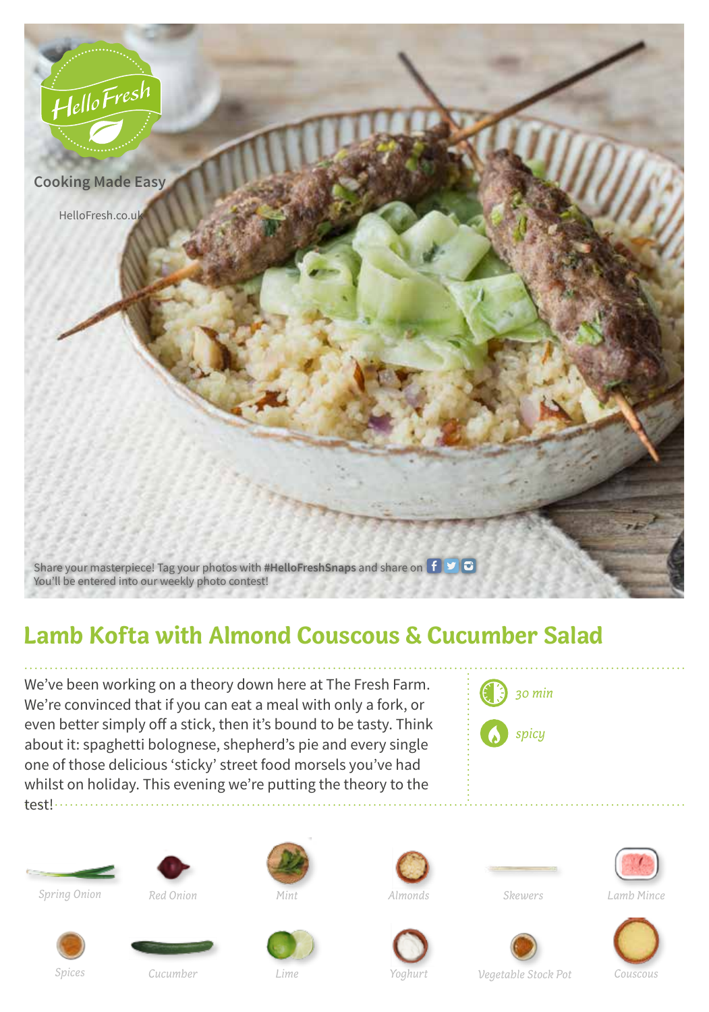

## **Lamb Kofta with Almond Couscous & Cucumber Salad**

We've been working on a theory down here at The Fresh Farm. We're convinced that if you can eat a meal with only a fork, or even better simply off a stick, then it's bound to be tasty. Think about it: spaghetti bolognese, shepherd's pie and every single one of those delicious 'sticky' street food morsels you've had whilst on holiday. This evening we're putting the theory to the test!















*Spring Onion Red Onion Mint Almonds Skewers Lamb Mince*











*Spices Cucumber Lime Yoghurt Vegetable Stock Pot Couscous*